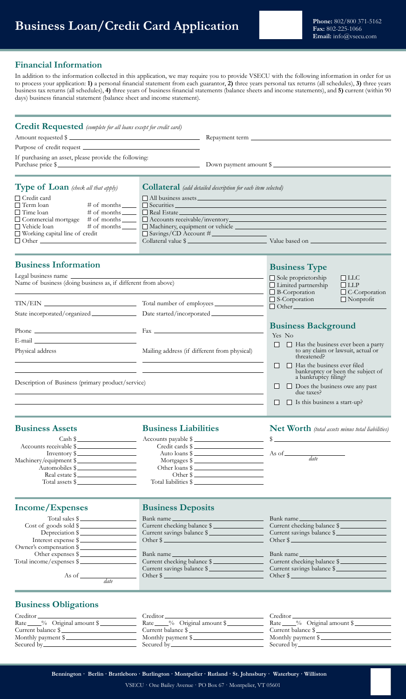# **Business Loan/Credit Card Application** Phone: 802/800 371-5162

### **Financial Information**

Secured by

In addition to the information collected in this application, we may require you to provide VSECU with the following information in order for us to process your application: **1)** a personal financial statement from each guarantor, **2)** three years personal tax returns (all schedules), **3)** three years business tax returns (all schedules), **4)** three years of business financial statements (balance sheets and income statements), and **5)** current (within 90 days) business financial statement (balance sheet and income statement).

| <b>Credit Requested</b> (complete for all loans except for credit card)                                                                                                                                                        |                                                                             |                                                                                                                                             |  |  |
|--------------------------------------------------------------------------------------------------------------------------------------------------------------------------------------------------------------------------------|-----------------------------------------------------------------------------|---------------------------------------------------------------------------------------------------------------------------------------------|--|--|
|                                                                                                                                                                                                                                |                                                                             | Amount requested \$                                                                                                                         |  |  |
|                                                                                                                                                                                                                                |                                                                             |                                                                                                                                             |  |  |
| If purchasing an asset, please provide the following:                                                                                                                                                                          |                                                                             |                                                                                                                                             |  |  |
|                                                                                                                                                                                                                                |                                                                             | Purchase price \$                                                                                                                           |  |  |
| Type of Loan (check all that apply)                                                                                                                                                                                            | <b>Collateral</b> (add detailed description for each item selected)         |                                                                                                                                             |  |  |
| $\Box$ Credit card                                                                                                                                                                                                             |                                                                             | $\Box$ All business assets<br>Securities Securities Securities Securities Securities Securities Securities Securities Securities Securities |  |  |
| $\Box$ Term loan<br># of months _______                                                                                                                                                                                        |                                                                             |                                                                                                                                             |  |  |
| $\Box$ Time loan                                                                                                                                                                                                               |                                                                             |                                                                                                                                             |  |  |
|                                                                                                                                                                                                                                | $\Box$ Commercial mortgage # of months $\Box$ Accounts receivable/inventory |                                                                                                                                             |  |  |
| $\Box$ Vehicle loan<br># of months $\_\_$                                                                                                                                                                                      | Savings/CD Account #                                                        |                                                                                                                                             |  |  |
| $\Box$ Working capital line of credit                                                                                                                                                                                          |                                                                             | Collateral value \$                                                                                                                         |  |  |
|                                                                                                                                                                                                                                |                                                                             |                                                                                                                                             |  |  |
| <b>Business Information</b>                                                                                                                                                                                                    |                                                                             | <b>Business Type</b>                                                                                                                        |  |  |
| Legal business name                                                                                                                                                                                                            |                                                                             | $\Box$ Sole proprietorship<br>$\Box$ LLC                                                                                                    |  |  |
| Name of business (doing business as, if different from above)                                                                                                                                                                  |                                                                             | $\Box$ Limited partnership<br>$\Box$ LLP<br>$\Box$ B-Corporation                                                                            |  |  |
|                                                                                                                                                                                                                                |                                                                             | $\Box$ C-Corporation<br>$\Box$ S-Corporation<br>$\Box$ Nonprofit                                                                            |  |  |
|                                                                                                                                                                                                                                |                                                                             | $\Box$ Other $\Box$                                                                                                                         |  |  |
|                                                                                                                                                                                                                                |                                                                             |                                                                                                                                             |  |  |
|                                                                                                                                                                                                                                |                                                                             |                                                                                                                                             |  |  |
| Phone $\overline{\phantom{a}}$ Fax $\overline{\phantom{a}}$                                                                                                                                                                    |                                                                             | <b>Business Background</b>                                                                                                                  |  |  |
| E-mail experience of the state of the state of the state of the state of the state of the state of the state of the state of the state of the state of the state of the state of the state of the state of the state of the st |                                                                             | Yes No                                                                                                                                      |  |  |
| Physical address                                                                                                                                                                                                               | Mailing address (if different from physical)                                | $\Box$ Has the business ever been a party<br>to any claim or lawsuit, actual or<br>threatened?                                              |  |  |
|                                                                                                                                                                                                                                |                                                                             | Has the business ever filed<br>$\perp$<br>$\perp$<br>bankruptcy or been the subject of                                                      |  |  |
| Description of Business (primary product/service)                                                                                                                                                                              |                                                                             | a bankruptcy filing?                                                                                                                        |  |  |
|                                                                                                                                                                                                                                |                                                                             | $\Box$ Does the business owe any past<br>$\Box$<br>due taxes?                                                                               |  |  |
|                                                                                                                                                                                                                                |                                                                             | $\Box$ Is this business a start-up?<br>$\Box$                                                                                               |  |  |
|                                                                                                                                                                                                                                |                                                                             |                                                                                                                                             |  |  |
| <b>Business Assets</b>                                                                                                                                                                                                         | <b>Business Liabilities</b>                                                 | Net Worth (total assets minus total liabilities)                                                                                            |  |  |
|                                                                                                                                                                                                                                |                                                                             | Accounts payable \$                                                                                                                         |  |  |
| Accounts receivable \$                                                                                                                                                                                                         | Credit cards \$                                                             |                                                                                                                                             |  |  |
| $Inventory$ \$                                                                                                                                                                                                                 |                                                                             |                                                                                                                                             |  |  |
| Machinery/equipment \$<br>Automobiles \$                                                                                                                                                                                       | Mortgages $\frac{1}{2}$                                                     |                                                                                                                                             |  |  |
| Real estate \$                                                                                                                                                                                                                 | Other loans \$<br>Other \$                                                  |                                                                                                                                             |  |  |
| Total assets \$                                                                                                                                                                                                                | Total liabilities \$                                                        |                                                                                                                                             |  |  |
|                                                                                                                                                                                                                                |                                                                             |                                                                                                                                             |  |  |
| Income/Expenses                                                                                                                                                                                                                | <b>Business Deposits</b>                                                    |                                                                                                                                             |  |  |
| Total sales \$                                                                                                                                                                                                                 | Bank name                                                                   | Bank name                                                                                                                                   |  |  |
| Cost of goods sold \$                                                                                                                                                                                                          | Current checking balance \$                                                 | Current checking balance \$                                                                                                                 |  |  |
| Depreciation \$                                                                                                                                                                                                                | Current savings balance \$                                                  | Current savings balance \$                                                                                                                  |  |  |
| Interest expense \$                                                                                                                                                                                                            | Other $\frac{1}{2}$                                                         | Other \$                                                                                                                                    |  |  |
| Owner's compensation \$                                                                                                                                                                                                        |                                                                             |                                                                                                                                             |  |  |
| Other expenses \$<br>Total income/expenses \$                                                                                                                                                                                  | Bank name<br>Current checking balance \$                                    | Bank name<br>Current checking balance \$                                                                                                    |  |  |
|                                                                                                                                                                                                                                | Current savings balance \$                                                  | Current savings balance \$                                                                                                                  |  |  |
|                                                                                                                                                                                                                                | Other \$                                                                    | Other \$                                                                                                                                    |  |  |
|                                                                                                                                                                                                                                |                                                                             |                                                                                                                                             |  |  |
| <b>Business Obligations</b>                                                                                                                                                                                                    |                                                                             |                                                                                                                                             |  |  |
| Creditor_                                                                                                                                                                                                                      |                                                                             | the control of the control of                                                                                                               |  |  |
| $Rate \_\_\%$ Original amount $\frac{8}{2}$                                                                                                                                                                                    | Rate ____% Original amount \$                                               | Rate ____% Original amount \$                                                                                                               |  |  |
| Current balance \$                                                                                                                                                                                                             | Current balance \$                                                          | Current balance \$                                                                                                                          |  |  |
| Monthly payment \$                                                                                                                                                                                                             | Monthly payment \$                                                          | Monthly payment \$                                                                                                                          |  |  |

**Bennington · Berlin · Brattleboro · Burlington · Montpelier · Rutland · St. Johnsbury · Waterbury · Williston**

Secured by

VSECU · One Bailey Avenue · PO Box 67 · Montpelier, VT 05601

Secured by